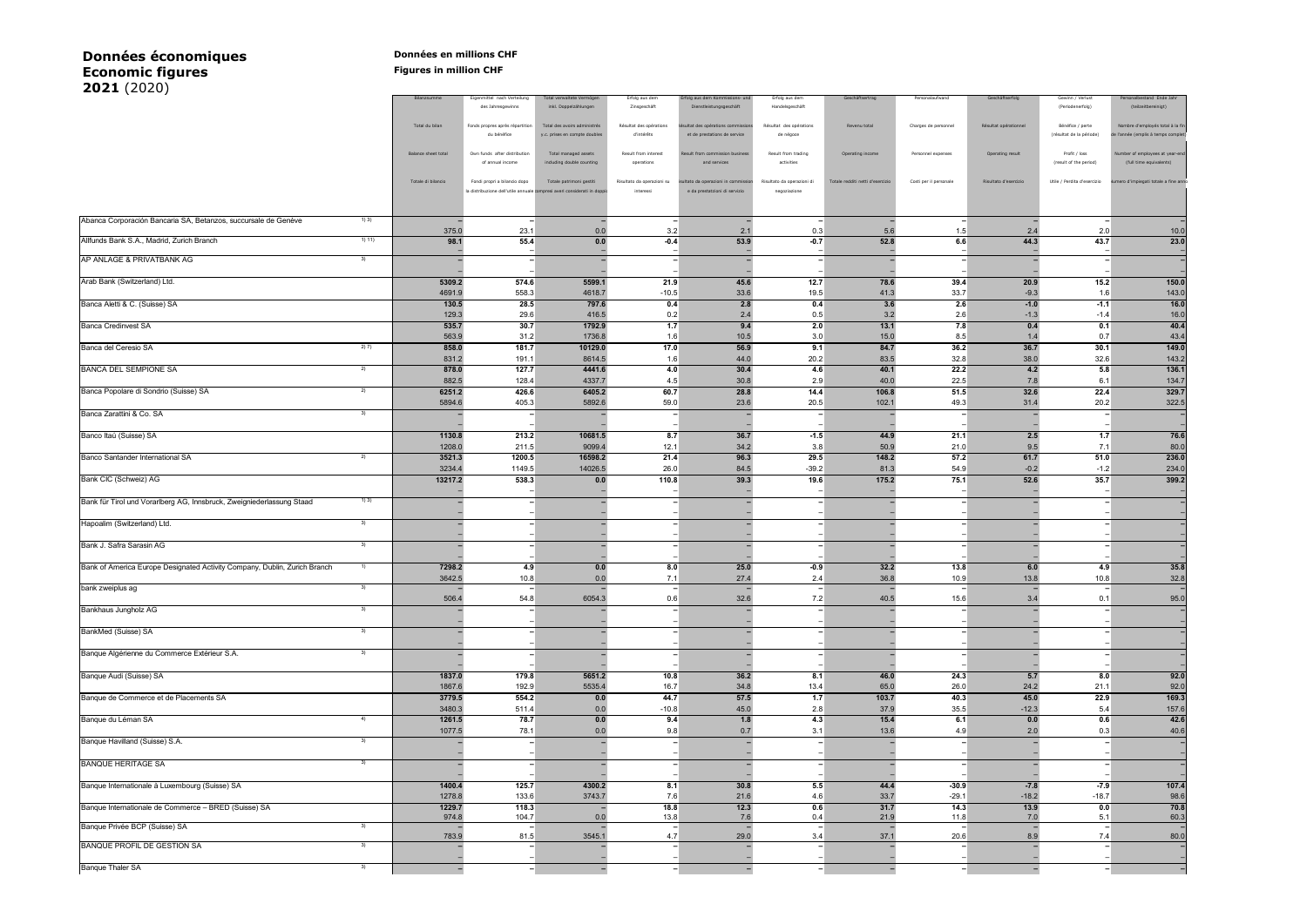## **Données économiques Données en millions CHF Economic figures Figures Figures Figures Figures ECONOMIC 2021** (2020)

| $\left(2020\right)$                                                       |                                                 |                     |                                                  |                                                                         |                                |                                                           |                                   |                                  |                        |                       |                                      |                                                  |
|---------------------------------------------------------------------------|-------------------------------------------------|---------------------|--------------------------------------------------|-------------------------------------------------------------------------|--------------------------------|-----------------------------------------------------------|-----------------------------------|----------------------------------|------------------------|-----------------------|--------------------------------------|--------------------------------------------------|
|                                                                           |                                                 | Bilanzsumme         | Eigenmittel nach Verteilung<br>des Jahresgewinns | Total verwaltete Vermögen<br>inkl. Doppelzählungen                      | Erfolg aus dem<br>Zinsgeschäft | rfolg aus dem Kommissions- und<br>Dienstleistungsgeschäft | Erfolg aus dem<br>Handelsgeschäft | Geschäftsertrag                  | Personalaufwand        | Geschäftserfolg       | Gewinn / Verlust<br>(Periodenerfolg) | Personalbestand Ende Jahr<br>(teilzeitbereinigt) |
|                                                                           |                                                 |                     |                                                  |                                                                         |                                |                                                           |                                   |                                  |                        |                       |                                      |                                                  |
|                                                                           |                                                 | Total du bilan      | Fonds propres après répartition                  | Total des avoirs administrés                                            | Résultat des opérations        | ésultat des opérations commissions                        | Résultat des opérations           | Revenu total                     | Charges de personnel   | Résultat opérationnel | Bénéfice / perte                     | Nombre d'employés total à la fin                 |
|                                                                           |                                                 |                     | du bénéfice                                      | y.c. prises en compte doubles                                           | d'intérêts                     | et de prestations de service                              | de négoce                         |                                  |                        |                       | (résultat de la période)             | de l'année (emplis à temps complet)              |
|                                                                           |                                                 |                     |                                                  |                                                                         |                                |                                                           |                                   |                                  |                        |                       |                                      |                                                  |
|                                                                           |                                                 | Balance sheet total | Own funds after distribution                     | Total managed assets                                                    | Result from interest           | Result from commission business                           | Result from trading               | Operating income                 | Personnel expenses     | Operating result      | Profit / loss                        | Number of employees at year-end                  |
|                                                                           |                                                 |                     | of annual income                                 | including double counting                                               | operations                     | and services                                              | activities                        |                                  |                        |                       | (result of the period)               | (full time equivalents)                          |
|                                                                           |                                                 | Totale di bilancio  | Fondi propri a bilancio dopo                     | Totale patrimoni gestiti                                                | Risultato da operazioni su     | sultato da operazioni in commissior                       | Risultato da operazioni di        | Totale redditi netti d'esercizio | Costi per il personale | Risultato d'esercizio | Utile / Perdita d'esercizio          | Jumero d'impiegati totale a fine anno            |
|                                                                           |                                                 |                     |                                                  | la distribuzione dell'utile annuale compresi averi considerati in doppi | interessi                      | e da prestatzioni di servizio                             | negoziazione                      |                                  |                        |                       |                                      |                                                  |
|                                                                           |                                                 |                     |                                                  |                                                                         |                                |                                                           |                                   |                                  |                        |                       |                                      |                                                  |
|                                                                           |                                                 |                     |                                                  |                                                                         |                                |                                                           |                                   |                                  |                        |                       |                                      |                                                  |
| Abanca Corporación Bancaria SA, Betanzos, succursale de Genève            | 1) 3)                                           |                     |                                                  |                                                                         |                                |                                                           |                                   |                                  |                        |                       |                                      |                                                  |
|                                                                           |                                                 | 375.0               | 23.1                                             | 0.0                                                                     | 3.2                            | 2.1                                                       | 0.3                               | 5.6                              | 1.5                    | 2.4                   | 2.0                                  | 10.0                                             |
| Allfunds Bank S.A., Madrid, Zurich Branch                                 | 1) 11)                                          | 98.1                | 55.4                                             | 0.0                                                                     | $-0.4$                         | 53.9                                                      | $-0.7$                            | 52.8                             | 6.6                    | 44.3                  | 43.7                                 | 23.0                                             |
|                                                                           |                                                 |                     |                                                  |                                                                         |                                |                                                           |                                   |                                  |                        |                       |                                      |                                                  |
| AP ANLAGE & PRIVATBANK AG                                                 | 3)                                              |                     |                                                  |                                                                         |                                |                                                           |                                   |                                  |                        |                       |                                      |                                                  |
|                                                                           |                                                 |                     |                                                  |                                                                         |                                |                                                           |                                   |                                  |                        |                       |                                      |                                                  |
| Arab Bank (Switzerland) Ltd.                                              |                                                 | 5309.2              | 574.6                                            | 5599.1                                                                  | 21.9                           | 45.6                                                      | 12.7                              | 78.6                             | 39.4                   | 20.9                  | 15.2                                 | 150.0                                            |
|                                                                           |                                                 | 4691.9              | 558.3                                            | 4618.7                                                                  | $-10.5$                        | 33.6                                                      | 19.5                              | 41.3                             | 33.7                   | $-9.3$                | 1.6                                  | 143.0                                            |
| Banca Aletti & C. (Suisse) SA                                             |                                                 | 130.5               | 28.5                                             | 797.6                                                                   | 0.4                            | 2.8                                                       | 0.4                               | 3.6                              | 2.6                    | $-1.0$                | $-1.1$                               | 16.0                                             |
|                                                                           |                                                 | 129.3               | 29.6                                             | 416.5                                                                   | 0.2                            | 2.4                                                       | 0.5                               | 3.2                              | 2.6                    | $-1.3$                | $-1.4$                               | 16.0                                             |
| Banca Credinvest SA                                                       |                                                 | 535.7               | 30.7                                             | 1792.9                                                                  | 1.7                            | 9.4                                                       | 2.0                               | 13.1                             | 7.8                    | 0.4                   | 0.1                                  | 40.4                                             |
|                                                                           |                                                 | 563.9               | 31.2                                             | 1736.8                                                                  | 1.6                            | 10.5                                                      | 3.0                               | 15.0                             | 8.5                    | 1.4                   | 0.7                                  | 43.4                                             |
| Banca del Ceresio SA                                                      | 2) 7)                                           | 858.0               | 181.7                                            | 10129.0                                                                 | 17.0                           | 56.9                                                      | 9.1                               | 84.7                             | 36.2                   | 36.7                  | 30.1                                 | 149.0                                            |
|                                                                           |                                                 | 831.2               | 191.1                                            | 8614.5                                                                  | 1.6                            | 44.0                                                      | 20.2                              | 83.5                             | 32.8                   | 38.0                  | 32.6                                 | 143.2                                            |
| <b>BANCA DEL SEMPIONE SA</b>                                              | 2)                                              | 878.0               | 127.7                                            | 4441.6                                                                  | 4.0                            | 30.4                                                      | 4.6                               | 40.1                             | 22.2                   | 4.2                   | 5.8                                  | 136.1                                            |
|                                                                           |                                                 | 882.5               | 128.4                                            | 4337.7                                                                  | 4.5                            | 30.8                                                      | 2.9                               | 40.0                             | 22.5                   | 7.8                   | 6.1                                  | 134.7                                            |
| Banca Popolare di Sondrio (Suisse) SA                                     | 2)                                              | 6251.2              | 426.6                                            | 6405.2                                                                  | 60.7                           | 28.8                                                      | 14.4                              | 106.8                            | 51.5                   | 32.6                  | 22.4                                 | 329.7                                            |
|                                                                           |                                                 | 5894.6              | 405.3                                            | 5892.6                                                                  | 59.0                           | 23.6                                                      | 20.5                              | 102.1                            | 49.3                   | 31.4                  | 20.2                                 | 322.5                                            |
| Banca Zarattini & Co. SA                                                  | 3)                                              |                     |                                                  |                                                                         |                                |                                                           |                                   |                                  |                        |                       |                                      |                                                  |
|                                                                           |                                                 |                     |                                                  |                                                                         |                                |                                                           |                                   |                                  |                        |                       |                                      |                                                  |
| Banco Itaú (Suisse) SA                                                    |                                                 | 1130.8              | 213.2                                            | 10681.5                                                                 | 8.7                            | 36.7                                                      | $-1.5$                            | 44.9                             | 21.1                   | 2.5                   | 1.7                                  | 76.6                                             |
|                                                                           |                                                 | 1208.0              | 211.5                                            | 9099.4                                                                  | 12.1                           | 34.2                                                      | 3.8                               | 50.9                             | 21.0                   | 9.5                   | 7.1                                  | 80.0                                             |
| Banco Santander International SA                                          | 2)                                              | 3521.3              | 1200.5                                           | 16598.2                                                                 | 21.4                           | 96.3                                                      | 29.5                              | 148.2                            | 57.2                   | 61.7                  | 51.0                                 | 236.0                                            |
|                                                                           |                                                 | 3234.4              | 1149.5                                           | 14026.5                                                                 | 26.0                           | 84.5                                                      | $-39.2$                           | 81.3                             | 54.9                   | $-0.2$                | $-1.2$                               | 234.0                                            |
| <b>Bank CIC (Schweiz) AG</b>                                              |                                                 | 13217.2             | 538.3                                            | 0.0                                                                     | 110.8                          | 39.3                                                      | 19.6                              | 175.2                            | 75.1                   | 52.6                  | 35.7                                 | 399.2                                            |
|                                                                           |                                                 |                     |                                                  |                                                                         |                                |                                                           |                                   |                                  |                        |                       |                                      |                                                  |
| Bank für Tirol und Vorarlberg AG, Innsbruck, Zweigniederlassung Staad     | 1)3)                                            |                     |                                                  |                                                                         |                                |                                                           |                                   |                                  |                        |                       |                                      |                                                  |
|                                                                           |                                                 |                     |                                                  |                                                                         |                                |                                                           |                                   |                                  |                        |                       |                                      |                                                  |
| Hapoalim (Switzerland) Ltd.                                               | 3)                                              |                     |                                                  |                                                                         |                                |                                                           |                                   |                                  |                        |                       |                                      |                                                  |
|                                                                           |                                                 |                     |                                                  |                                                                         |                                |                                                           |                                   |                                  |                        |                       |                                      |                                                  |
| Bank J. Safra Sarasin AG                                                  |                                                 |                     |                                                  |                                                                         |                                |                                                           |                                   |                                  |                        |                       |                                      |                                                  |
|                                                                           |                                                 |                     |                                                  |                                                                         |                                |                                                           |                                   |                                  |                        |                       |                                      |                                                  |
| Bank of America Europe Designated Activity Company, Dublin, Zurich Branch | $\left( \begin{array}{c} 1 \end{array} \right)$ | 7298.2              | 4.9                                              | 0.0                                                                     | 8.0                            | 25.0                                                      | $-0.9$                            | 32.2                             | 13.8                   | 6.0                   | 4.9                                  | 35.8                                             |
|                                                                           |                                                 | 3642.5              | 10.8                                             | 0.0                                                                     | 7.1                            | 27.4                                                      | 2.4                               | 36.8                             | 10.9                   | 13.8                  | 10.8                                 | 32.8                                             |
| bank zweiplus ag                                                          | 3)                                              |                     |                                                  |                                                                         |                                |                                                           |                                   |                                  |                        |                       |                                      |                                                  |
|                                                                           |                                                 | 506.4               | 54.8                                             | 6054.3                                                                  | 0.6                            | 32.6                                                      | 7.2                               | 40.5                             | 15.6                   | 3.4                   |                                      | 95.0                                             |
| Bankhaus Jungholz AG                                                      | 3)                                              |                     |                                                  |                                                                         |                                |                                                           |                                   |                                  |                        |                       |                                      |                                                  |
|                                                                           |                                                 |                     |                                                  |                                                                         |                                |                                                           |                                   |                                  |                        |                       |                                      |                                                  |
| BankMed (Suisse) SA                                                       | 3)                                              |                     |                                                  |                                                                         |                                |                                                           |                                   |                                  |                        |                       |                                      |                                                  |
|                                                                           |                                                 |                     |                                                  |                                                                         |                                |                                                           |                                   |                                  |                        |                       |                                      |                                                  |
| Banque Algérienne du Commerce Extérieur S.A.                              | 3)                                              |                     |                                                  |                                                                         |                                |                                                           |                                   |                                  |                        |                       |                                      |                                                  |
|                                                                           |                                                 |                     |                                                  |                                                                         |                                |                                                           |                                   |                                  |                        |                       |                                      |                                                  |
| Banque Audi (Suisse) SA                                                   |                                                 | 1837.0              | 179.8                                            | 5651.2                                                                  | 10.8                           | 36.2                                                      | 8.1                               | 46.0                             | 24.3                   | 5.7                   | 8.0                                  | 92.0                                             |
|                                                                           |                                                 | 1867.6              | 192.9                                            | 5535.4                                                                  | 16.7                           | 34.8                                                      | 13.4                              | 65.0                             | 26.0                   | 24.2                  | 21.1                                 | 92.0                                             |
| Banque de Commerce et de Placements SA                                    |                                                 | 3779.5              | 554.2                                            | 0.0                                                                     | 44.7                           | 57.5                                                      | 1.7                               | 103.7                            | 40.3                   | 45.0                  | 22.9                                 | 169.3                                            |
|                                                                           |                                                 | 3480.3              | 511.4                                            | 0.0                                                                     | $-10.8$                        | 45.0                                                      | 2.8                               | 37.9                             | 35.5                   | $-12.3$               | 5.4                                  | 157.6                                            |
| Banque du Léman SA                                                        | 4)                                              | 1261.5              | 78.7                                             | 0.0                                                                     | 9.4                            | 1.8                                                       | 4.3                               | 15.4                             | 6.1                    | 0.0                   | 0.6                                  | 42.6                                             |
|                                                                           |                                                 | 1077.5              | 78.1                                             | 0.0                                                                     | 9.8                            | 0.7                                                       | 3.1                               | 13.6                             | 4.9                    | 2.0                   | 0.3                                  | 40.6                                             |
| Banque Havilland (Suisse) S.A.                                            | 3)                                              |                     |                                                  |                                                                         |                                |                                                           |                                   |                                  |                        |                       |                                      |                                                  |
|                                                                           |                                                 |                     |                                                  |                                                                         |                                |                                                           |                                   |                                  |                        |                       |                                      |                                                  |
| <b>BANQUE HERITAGE SA</b>                                                 | 3)                                              |                     |                                                  |                                                                         |                                |                                                           |                                   |                                  |                        |                       |                                      |                                                  |
|                                                                           |                                                 |                     |                                                  |                                                                         |                                |                                                           |                                   |                                  |                        |                       |                                      |                                                  |
| Banque Internationale à Luxembourg (Suisse) SA                            |                                                 | 1400.4              | 125.7                                            | 4300.2                                                                  | 8.1                            | 30.8                                                      | 5.5                               | 44.4                             | $-30.9$                | $-7.8$                | $-7.9$                               | 107.4                                            |
|                                                                           |                                                 |                     |                                                  |                                                                         |                                |                                                           |                                   |                                  |                        |                       |                                      |                                                  |
|                                                                           |                                                 | 1278.8              | 133.6                                            | 3743.7                                                                  | 7.6                            | 21.6                                                      | 4.6                               | 33.7                             | $-29.1$                | $-18.2$               | $-18.7$                              | 98.6                                             |
| Banque Internationale de Commerce - BRED (Suisse) SA                      |                                                 | 1229.7<br>974.8     | 118.3<br>104.7                                   | 0.0                                                                     | 18.8<br>13.8                   | 12.3<br>7.6                                               | 0.6<br>0.4                        | 31.7<br>21.9                     | 14.3<br>11.8           | 13.9<br>7.0           | 0.0<br>5.1                           | 70.8<br>60.3                                     |
| Banque Privée BCP (Suisse) SA                                             |                                                 |                     |                                                  |                                                                         |                                |                                                           |                                   |                                  |                        |                       |                                      |                                                  |
|                                                                           |                                                 | 783.9               | 81.5                                             | 3545.1                                                                  | 4.7                            | 29.0                                                      | 3.4                               | 37.1                             | 20.6                   | 8.9                   | 7.4                                  | 80.0                                             |
| <b>BANQUE PROFIL DE GESTION SA</b>                                        | 3)                                              |                     |                                                  |                                                                         |                                |                                                           |                                   |                                  |                        |                       |                                      |                                                  |
|                                                                           |                                                 |                     |                                                  |                                                                         |                                |                                                           |                                   |                                  |                        |                       |                                      |                                                  |
| <b>Banque Thaler SA</b>                                                   | 3)                                              |                     | $\,$                                             |                                                                         |                                |                                                           |                                   |                                  |                        |                       |                                      | $\qquad \qquad -$                                |
|                                                                           |                                                 |                     |                                                  |                                                                         |                                |                                                           |                                   |                                  |                        |                       |                                      |                                                  |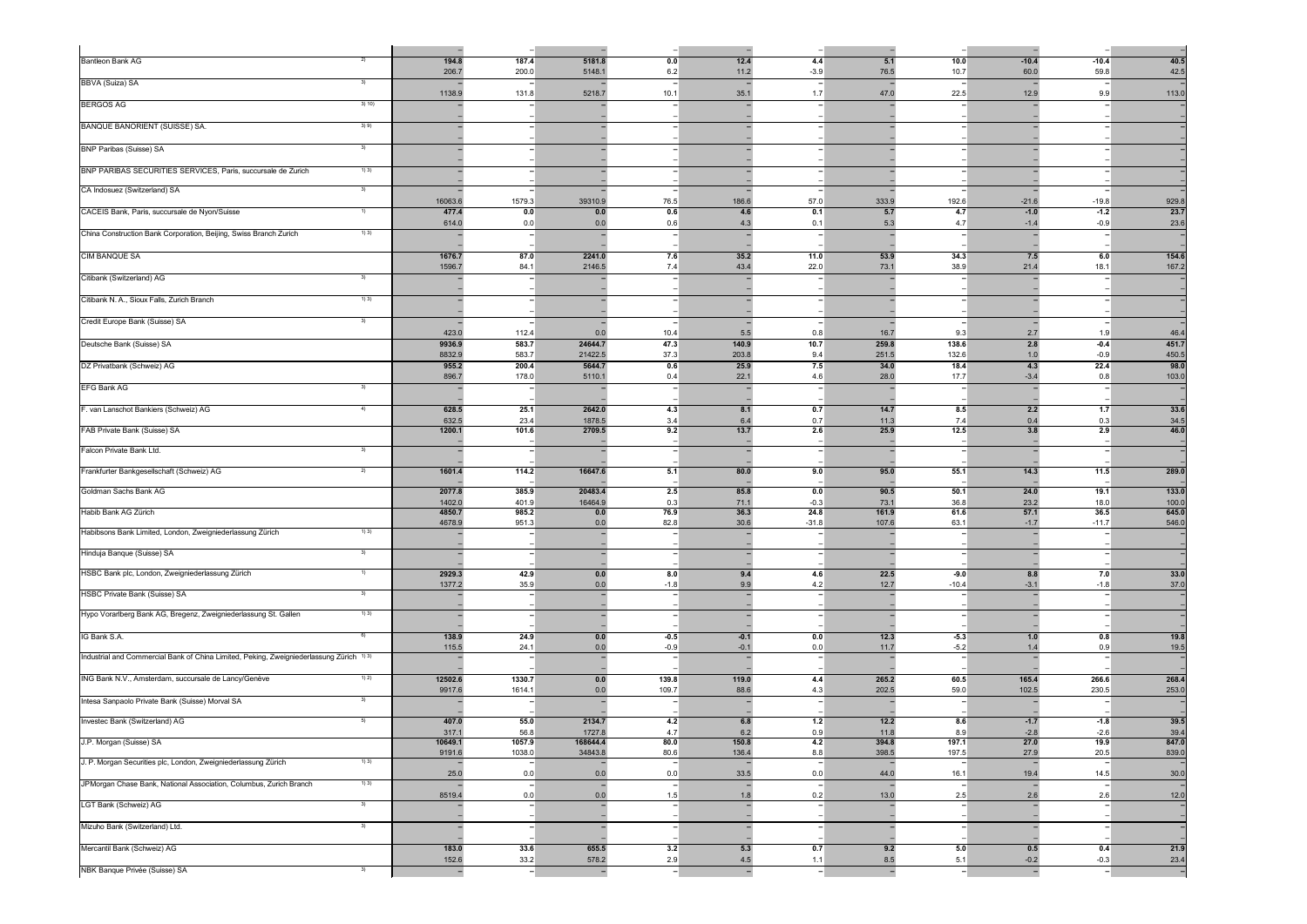| <b>Bantleon Bank AG</b><br>2)                                                                       | 194.8<br>206.7    | 187.4<br>200.0   | 5181.8<br>5148.     | 0.0<br>6.2   | 12.4<br>11.2   | 4.4<br>$-3.9$  | 5.1<br>76.5    | 10.0<br>10.7   | $-10.4$<br>60.0   | $-10.4$<br>59.8   | 40.5<br>42.5   |
|-----------------------------------------------------------------------------------------------------|-------------------|------------------|---------------------|--------------|----------------|----------------|----------------|----------------|-------------------|-------------------|----------------|
| BBVA (Suiza) SA<br>3)                                                                               | 1138.9            | 131.8            | 5218.7              | 10.1         | 35.1           | 1.7            | 47.0           | 22.5           | 12.9              | 9.9               | 113.0          |
| <b>BERGOS AG</b><br>3) 10)                                                                          |                   |                  |                     |              |                |                |                |                |                   |                   |                |
| <b>BANQUE BANORIENT (SUISSE) SA.</b><br>3)9)                                                        |                   |                  |                     |              |                |                |                |                |                   |                   |                |
| <b>BNP Paribas (Suisse) SA</b><br>3)                                                                |                   |                  |                     |              |                |                |                |                |                   |                   |                |
| BNP PARIBAS SECURITIES SERVICES, Paris, succursale de Zurich<br>1)3)                                |                   |                  |                     |              |                |                |                |                |                   |                   |                |
| CA Indosuez (Switzerland) SA<br>3)                                                                  |                   |                  |                     |              |                |                |                |                |                   |                   |                |
| CACEIS Bank, Paris, succursale de Nyon/Suisse<br>1)                                                 | 16063.6<br>477.4  | 1579.3<br>0.0    | 39310.9<br>0.0      | 76.5<br>0.6  | 186.6<br>4.6   | 57.0<br>0.1    | 333.9<br>5.7   | 192.6<br>4.7   | $-21.6$<br>$-1.0$ | $-19.8$<br>$-1.2$ | 929.8<br>23.7  |
|                                                                                                     | 614.0             | 0.0              | 0 <sub>0</sub>      | 0.6          |                | 0.1            | 5.3            | 4.7            | $-1.4$            | $-0.9^{\circ}$    | 23.6           |
| China Construction Bank Corporation, Beijing, Swiss Branch Zurich<br>1) 3)                          |                   |                  |                     |              |                |                |                |                |                   |                   |                |
| <b>CIM BANQUE SA</b>                                                                                | 1676.7<br>1596.7  | 87.0<br>84.1     | 2241.0<br>2146.5    | 7.6<br>7.4   | 35.2<br>43.4   | 11.0<br>22.0   | 53.9<br>73.1   | 34.3<br>38.9   | 7.5<br>21.4       | 6.0<br>18.1       | 154.6<br>167.2 |
| Citibank (Switzerland) AG<br>-3)                                                                    |                   |                  |                     |              |                |                |                |                |                   |                   |                |
| Citibank N. A., Sioux Falls, Zurich Branch<br>1)3)                                                  |                   |                  |                     |              |                |                |                |                |                   |                   |                |
| Credit Europe Bank (Suisse) SA<br>3)                                                                |                   |                  |                     |              |                |                |                |                |                   |                   |                |
| Deutsche Bank (Suisse) SA                                                                           | 423.0<br>9936.9   | 112.4<br>583.7   | $\Omega$<br>24644.7 | 10.4<br>47.3 | 5.5<br>140.9   | 0.8<br>10.7    | 16.7<br>259.8  | 9.3<br>138.6   | 2.7<br>2.8        | 19<br>$-0.4$      | 46.4<br>451.7  |
| DZ Privatbank (Schweiz) AG                                                                          | 8832.9<br>955.2   | 583.7<br>200.4   | 21422.5<br>5644.7   | 37.3<br>0.6  | 203.8<br>25.9  | 9.4<br>7.5     | 251.5<br>34.0  | 132.6<br>18.4  | 1.0<br>4.3        | $-0.9$<br>22.4    | 450.5<br>98.0  |
|                                                                                                     | 896.7             | 178.0            | 5110.1              | 0.4          | 22.1           | 4.6            | 28.0           | 17.7           | $-3.4$            | 0.8               | 103.0          |
| <b>EFG Bank AG</b><br>3)                                                                            |                   |                  |                     |              |                |                |                |                |                   |                   |                |
| F. van Lanschot Bankiers (Schweiz) AG<br>4)                                                         | 628.5<br>632.5    | 25.1<br>23.4     | 2642.0<br>1878.5    | 4.3<br>3.4   | 8.1<br>6.4     | 0.7<br>0.7     | 14.7<br>11.3   | 8.5<br>7.4     | 2.2<br>0.4        | 1.7<br>0.3        | 33.6<br>34.5   |
| FAB Private Bank (Suisse) SA                                                                        | 1200.1            | 101.6            | 2709.5              | 9.2          | 13.7           | 2.6            | 25.9           | 12.5           | 3.8               | 2.9               | 46.0           |
| Falcon Private Bank Ltd.<br>$\mathcal{A}$                                                           |                   |                  |                     |              |                |                |                |                |                   |                   |                |
| Frankfurter Bankgesellschaft (Schweiz) AG<br>2)                                                     | 1601.4            | 114.2            | 16647.6             | 5.1          | 80.0           | 9.0            | 95.0           | 55.1           | 14.3              | 11.5              | 289.0          |
| Goldman Sachs Bank AG                                                                               | 2077.8            | 385.9            | 20483.4             | 2.5          | 85.8           | 0.0            | 90.5           | 50.1           | 24.0              | 19.1              | 133.0          |
| Habib Bank AG Zürich                                                                                | 1402.0<br>4850.7  | 401.9<br>985.2   | 16464.9<br>0.0      | 0.3<br>76.9  | 71.1<br>36.3   | $-0.3$<br>24.8 | 73.1<br>161.9  | 36.8<br>61.6   | 23.2<br>57.1      | 18.0<br>36.5      | 100.0<br>645.0 |
| Habibsons Bank Limited, London, Zweigniederlassung Zürich<br>1)3)                                   | 4678.9            | 951.3            | 0.0                 | 82.8         | 30.6           | $-31.8$        | 107.6          | 63.1           | $-1.7$            | $-11.7$           | 546.0          |
| Hinduja Banque (Suisse) SA<br>3)                                                                    |                   |                  |                     |              |                |                |                |                |                   |                   |                |
| HSBC Bank plc, London, Zweigniederlassung Zürich<br>$\left( \begin{array}{c} 1 \end{array} \right)$ | 2929.3            | 42.9             | 0.0                 | 8.0          | 9.4            | 4.6            | 22.5           | $-9.0$         | 8.8               | 7.0               | 33.0           |
| HSBC Private Bank (Suisse) SA<br>3 <sup>)</sup>                                                     | 1377.2            | 35.9             | 0.0                 | $-1.8$       | 9.9            | 4.2            | 12.7           | $-10.4$        | $-3.1$            | $-1.8$            | 37.0           |
| Hypo Vorarlberg Bank AG, Bregenz, Zweigniederlassung St. Gallen<br>1)3)                             |                   |                  |                     |              |                |                |                |                |                   |                   |                |
| IG Bank S.A.<br>6)                                                                                  | 138.9             | 24.9             | 0.0                 | $-0.5$       | $-0.1$         | 0.0            | 12.3           | $-5.3$         | 1.0               | 0.8               | 19.8           |
| Industrial and Commercial Bank of China Limited, Peking, Zweigniederlassung Zürich 1) 3)            | 115.5             | 24.1             | 0.0                 | $-0.9$       | $-0.7$         | 0.0            | 11.7           | $-5.2$         |                   | 0.9               | 19.5           |
| ING Bank N.V., Amsterdam, succursale de Lancy/Genève<br>1) 2)                                       | 12502.6           | 1330.7           | 0.0                 | 139.8        | 119.0          | 4.4            | 265.2          | 60.5           | 165.4             | 266.6             | 268.4          |
|                                                                                                     | 9917.6            | 1614.1           | 00                  | 109.7        | 88.6           | 4.3            | 202.5          | 59.0           | 102.5             | 230.5             | 253.0          |
| Intesa Sanpaolo Private Bank (Suisse) Morval SA<br>3)                                               |                   |                  |                     |              |                |                |                |                |                   |                   |                |
| Investec Bank (Switzerland) AG<br>5)                                                                | 407.0<br>317.1    | 55.0<br>56.8     | 2134.7<br>1727.8    | 4.2<br>4.7   | 6.8<br>6.2     | 1.2<br>0.9     | $12.2$<br>11.8 | 8.6<br>8.9     | $-1.7$<br>$-2.8$  | $-1.8$<br>$-2.6$  | 39.5<br>39.4   |
| J.P. Morgan (Suisse) SA                                                                             | 10649.1<br>9191.6 | 1057.9<br>1038.0 | 168644.4<br>34843.8 | 80.0<br>80.6 | 150.8<br>136.4 | 4.2<br>8.8     | 394.8<br>398.5 | 197.1<br>197.5 | 27.0<br>27.9      | 19.9 <br>20.5     | 847.0<br>839.0 |
| J. P. Morgan Securities plc, London, Zweigniederlassung Zürich<br>1)3)                              | 25.0              | 0.0              | 0.0                 | 0.0          | 33.5           | 0.0            | 44.0           | 16.1           | 19.4              | 14.5              | 30.0           |
| JPMorgan Chase Bank, National Association, Columbus, Zurich Branch<br>1) 3)                         | 8519.4            | 0.0              | 0.0                 | 1.5          |                | 0.2            | 13.0           | 2.5            | 2.6               | 2.6               | 12.0           |
| LGT Bank (Schweiz) AG<br>3)                                                                         |                   |                  |                     |              |                |                |                |                |                   |                   |                |
| Mizuho Bank (Switzerland) Ltd.<br>3)                                                                |                   |                  |                     |              |                |                |                |                |                   |                   |                |
| Mercantil Bank (Schweiz) AG                                                                         | 183.0             | 33.6             | 655.5               | 3.2          | 5.3            | 0.7            | 9.2            | 5.0            | 0.5               | 0.4               | 21.9           |
| NBK Banque Privée (Suisse) SA<br>3)                                                                 | 152.6             | 33.2             | 578.2               | 2.9          | 4.5            | 1.1            | 8.5            | 5.1            | $-0.2$            | $-0.3$            | 23.4           |